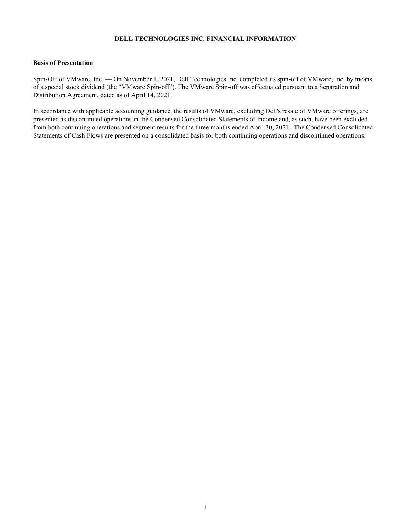#### **DELL TECHNOLOGIES INC. FINANCIAL INFORMATION**

### **Basis of Presentation**

Spin-Off of VMware, Inc. — On November 1, 2021, Dell Technologies Inc. completed its spin-off of VMware, Inc. by means of a special stock dividend (the "VMware Spin-off"). The VMware Spin-off was effectuated pursuant to a Separation and Distribution Agreement, dated as of April 14, 2021.

In accordance with applicable accounting guidance, the results of VMware, excluding Dell's resale of VMware offerings, are presented as discontinued operations in the Condensed Consolidated Statements of Income and, as such, have been excluded from both continuing operations and segment results for the three months ended April 30, 2021. The Condensed Consolidated Statements of Cash Flows are presented on a consolidated basis for both continuing operations and discontinued operations.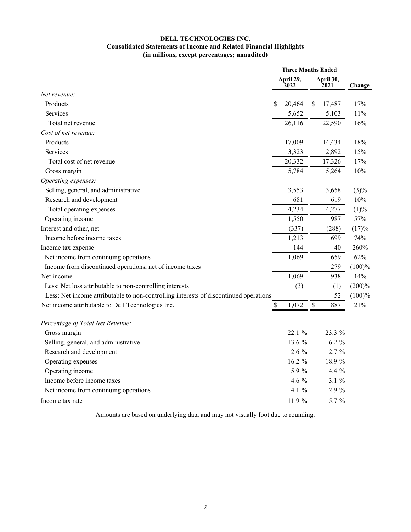# **DELL TECHNOLOGIES INC. Consolidated Statements of Income and Related Financial Highlights (in millions, except percentages; unaudited)**

|                                                                                       |                   | <b>Three Months Ended</b> |                   |          |         |  |
|---------------------------------------------------------------------------------------|-------------------|---------------------------|-------------------|----------|---------|--|
|                                                                                       | April 29,<br>2022 |                           | April 30,<br>2021 |          | Change  |  |
| Net revenue:                                                                          |                   |                           |                   |          |         |  |
| Products                                                                              | \$                | 20,464                    | \$                | 17,487   | 17%     |  |
| Services                                                                              |                   | 5,652                     |                   | 5,103    | 11%     |  |
| Total net revenue                                                                     |                   | 26,116                    |                   | 22,590   | 16%     |  |
| Cost of net revenue:                                                                  |                   |                           |                   |          |         |  |
| Products                                                                              |                   | 17,009                    |                   | 14,434   | 18%     |  |
| Services                                                                              |                   | 3,323                     |                   | 2,892    | 15%     |  |
| Total cost of net revenue                                                             |                   | 20,332                    |                   | 17,326   | 17%     |  |
| Gross margin                                                                          |                   | 5,784                     |                   | 5,264    | 10%     |  |
| Operating expenses:                                                                   |                   |                           |                   |          |         |  |
| Selling, general, and administrative                                                  |                   | 3,553                     |                   | 3,658    | $(3)\%$ |  |
| Research and development                                                              |                   | 681                       |                   | 619      | 10%     |  |
| Total operating expenses                                                              |                   | 4,234                     |                   | 4,277    | (1)%    |  |
| Operating income                                                                      |                   | 1,550                     |                   | 987      | 57%     |  |
| Interest and other, net                                                               |                   | (337)                     |                   | (288)    | (17)%   |  |
| Income before income taxes                                                            |                   | 1,213                     |                   | 699      | 74%     |  |
| Income tax expense                                                                    |                   | 144                       |                   | 40       | 260%    |  |
| Net income from continuing operations                                                 |                   | 1,069                     |                   | 659      | 62%     |  |
| Income from discontinued operations, net of income taxes                              |                   |                           |                   | 279      | (100)%  |  |
| Net income                                                                            |                   | 1,069                     |                   | 938      | 14%     |  |
| Less: Net loss attributable to non-controlling interests                              |                   | (3)                       |                   | (1)      | (200)%  |  |
| Less: Net income attributable to non-controlling interests of discontinued operations |                   |                           |                   | 52       | (100)%  |  |
| Net income attributable to Dell Technologies Inc.                                     | \$                | 1,072                     | $\mathcal{S}$     | 887      | 21%     |  |
| Percentage of Total Net Revenue:                                                      |                   |                           |                   |          |         |  |
| Gross margin                                                                          |                   | 22.1 %                    |                   | 23.3 %   |         |  |
| Selling, general, and administrative                                                  |                   | 13.6 %                    |                   | 16.2 %   |         |  |
| Research and development                                                              |                   | $2.6\%$                   |                   | 2.7%     |         |  |
| Operating expenses                                                                    |                   | $16.2 \%$                 |                   | 18.9 %   |         |  |
| Operating income                                                                      |                   | 5.9 %                     |                   | 4.4 %    |         |  |
| Income before income taxes                                                            |                   | 4.6 %                     |                   | $3.1 \%$ |         |  |
| Net income from continuing operations                                                 |                   | 4.1 $%$                   |                   | 2.9 %    |         |  |
| Income tax rate                                                                       |                   | 11.9 %                    |                   | 5.7 %    |         |  |

Amounts are based on underlying data and may not visually foot due to rounding.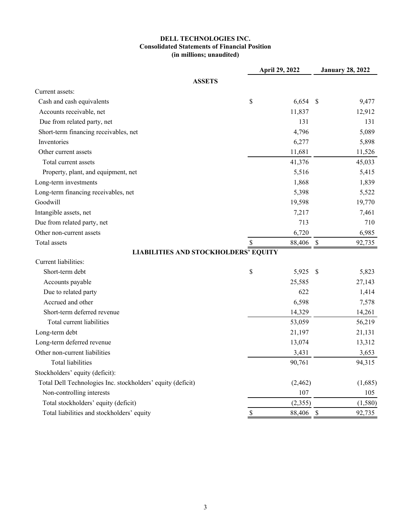# **DELL TECHNOLOGIES INC. Consolidated Statements of Financial Position (in millions; unaudited)**

|                                                             | April 29, 2022 |          | <b>January 28, 2022</b> |         |
|-------------------------------------------------------------|----------------|----------|-------------------------|---------|
| <b>ASSETS</b>                                               |                |          |                         |         |
| Current assets:                                             |                |          |                         |         |
| Cash and cash equivalents                                   | \$             | 6,654    | \$                      | 9,477   |
| Accounts receivable, net                                    |                | 11,837   |                         | 12,912  |
| Due from related party, net                                 |                | 131      |                         | 131     |
| Short-term financing receivables, net                       |                | 4,796    |                         | 5,089   |
| Inventories                                                 |                | 6,277    |                         | 5,898   |
| Other current assets                                        |                | 11,681   |                         | 11,526  |
| Total current assets                                        |                | 41,376   |                         | 45,033  |
| Property, plant, and equipment, net                         |                | 5,516    |                         | 5,415   |
| Long-term investments                                       |                | 1,868    |                         | 1,839   |
| Long-term financing receivables, net                        |                | 5,398    |                         | 5,522   |
| Goodwill                                                    |                | 19,598   |                         | 19,770  |
| Intangible assets, net                                      |                | 7,217    |                         | 7,461   |
| Due from related party, net                                 |                | 713      |                         | 710     |
| Other non-current assets                                    |                | 6,720    |                         | 6,985   |
| Total assets                                                | \$             | 88,406   | $\mathcal{S}$           | 92,735  |
| <b>LIABILITIES AND STOCKHOLDERS' EQUITY</b>                 |                |          |                         |         |
| Current liabilities:                                        |                |          |                         |         |
| Short-term debt                                             | \$             | 5,925    | -\$                     | 5,823   |
| Accounts payable                                            |                | 25,585   |                         | 27,143  |
| Due to related party                                        |                | 622      |                         | 1,414   |
| Accrued and other                                           |                | 6,598    |                         | 7,578   |
| Short-term deferred revenue                                 |                | 14,329   |                         | 14,261  |
| Total current liabilities                                   |                | 53,059   |                         | 56,219  |
| Long-term debt                                              |                | 21,197   |                         | 21,131  |
| Long-term deferred revenue                                  |                | 13,074   |                         | 13,312  |
| Other non-current liabilities                               |                | 3,431    |                         | 3,653   |
| Total liabilities                                           |                | 90,761   |                         | 94,315  |
| Stockholders' equity (deficit):                             |                |          |                         |         |
| Total Dell Technologies Inc. stockholders' equity (deficit) |                | (2, 462) |                         | (1,685) |
| Non-controlling interests                                   |                | 107      |                         | 105     |
| Total stockholders' equity (deficit)                        |                | (2,355)  |                         | (1,580) |
| Total liabilities and stockholders' equity                  |                | 88,406   | \$                      | 92,735  |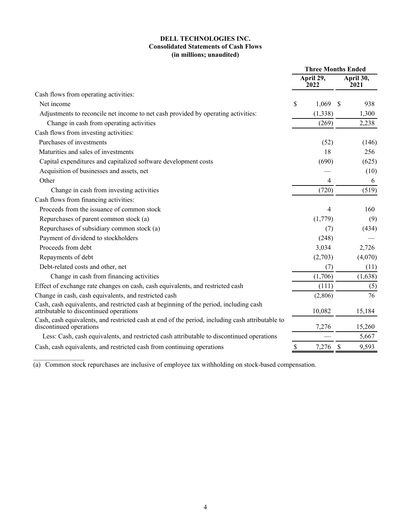## **DELL TECHNOLOGIES INC. Consolidated Statements of Cash Flows (in millions; unaudited)**

|                                                                                                                                          |    | <b>Three Months Ended</b> |    |                   |
|------------------------------------------------------------------------------------------------------------------------------------------|----|---------------------------|----|-------------------|
| Cash flows from operating activities:<br>Net income<br>Adjustments to reconcile net income to net cash provided by operating activities: |    | April 29,<br>2022         |    | April 30,<br>2021 |
|                                                                                                                                          |    |                           |    |                   |
|                                                                                                                                          | S  | 1,069                     | -S | 938               |
|                                                                                                                                          |    | (1,338)                   |    | 1,300             |
| Change in cash from operating activities                                                                                                 |    | (269)                     |    | 2,238             |
| Cash flows from investing activities:                                                                                                    |    |                           |    |                   |
| Purchases of investments                                                                                                                 |    | (52)                      |    | (146)             |
| Maturities and sales of investments                                                                                                      |    | 18                        |    | 256               |
| Capital expenditures and capitalized software development costs                                                                          |    | (690)                     |    | (625)             |
| Acquisition of businesses and assets, net                                                                                                |    |                           |    | (10)              |
| Other                                                                                                                                    |    | 4                         |    | 6                 |
| Change in cash from investing activities                                                                                                 |    | (720)                     |    | (519)             |
| Cash flows from financing activities:                                                                                                    |    |                           |    |                   |
| Proceeds from the issuance of common stock                                                                                               |    | 4                         |    | 160               |
| Repurchases of parent common stock (a)                                                                                                   |    | (1,779)                   |    | (9)               |
| Repurchases of subsidiary common stock (a)                                                                                               |    | (7)                       |    | (434)             |
| Payment of dividend to stockholders                                                                                                      |    | (248)                     |    |                   |
| Proceeds from debt                                                                                                                       |    | 3,034                     |    | 2,726             |
| Repayments of debt                                                                                                                       |    | (2,703)                   |    | (4,070)           |
| Debt-related costs and other, net                                                                                                        |    | (7)                       |    | (11)              |
| Change in cash from financing activities                                                                                                 |    | (1,706)                   |    | (1,638)           |
| Effect of exchange rate changes on cash, cash equivalents, and restricted cash                                                           |    | (111)                     |    | (5)               |
| Change in cash, cash equivalents, and restricted cash                                                                                    |    | (2,806)                   |    | 76                |
| Cash, cash equivalents, and restricted cash at beginning of the period, including cash<br>attributable to discontinued operations        |    | 10,082                    |    | 15,184            |
| Cash, cash equivalents, and restricted cash at end of the period, including cash attributable to<br>discontinued operations              |    | 7,276                     |    | 15,260            |
| Less: Cash, cash equivalents, and restricted cash attributable to discontinued operations                                                |    |                           |    | 5,667             |
| Cash, cash equivalents, and restricted cash from continuing operations                                                                   | \$ | 7,276                     | \$ | 9,593             |

(a) Common stock repurchases are inclusive of employee tax withholding on stock-based compensation.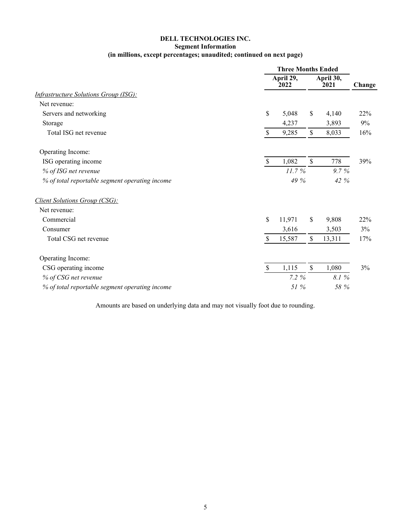# **DELL TECHNOLOGIES INC.**

# **Segment Information**

# **(in millions, except percentages; unaudited; continued on next page)**

|                                                |               | <b>Three Months Ended</b> |               |                   |        |  |
|------------------------------------------------|---------------|---------------------------|---------------|-------------------|--------|--|
|                                                |               | April 29,<br>2022         |               | April 30,<br>2021 | Change |  |
| <b>Infrastructure Solutions Group (ISG):</b>   |               |                           |               |                   |        |  |
| Net revenue:                                   |               |                           |               |                   |        |  |
| Servers and networking                         | \$            | 5,048                     | \$            | 4,140             | 22%    |  |
| Storage                                        |               | 4,237                     |               | 3,893             | 9%     |  |
| Total ISG net revenue                          | $\mathcal{S}$ | 9,285                     | $\mathbb{S}$  | 8,033             | 16%    |  |
| Operating Income:                              |               |                           |               |                   |        |  |
| ISG operating income                           | $\mathsf{\$}$ | 1,082                     | $\mathcal{S}$ | 778               | 39%    |  |
| % of ISG net revenue                           |               | 11.7%                     |               | 9.7%              |        |  |
| % of total reportable segment operating income |               | 49 %                      |               | 42 %              |        |  |
| Client Solutions Group (CSG):                  |               |                           |               |                   |        |  |
| Net revenue:                                   |               |                           |               |                   |        |  |
| Commercial                                     | \$            | 11,971                    | \$            | 9,808             | 22%    |  |
| Consumer                                       |               | 3,616                     |               | 3,503             | 3%     |  |
| Total CSG net revenue                          | $\mathbf{\$}$ | 15,587                    | \$            | 13,311            | 17%    |  |
| Operating Income:                              |               |                           |               |                   |        |  |
| CSG operating income                           | $\mathsf{\$}$ | 1,115                     | \$            | 1,080             | 3%     |  |
| % of CSG net revenue                           |               | 7.2%                      |               | 8.1%              |        |  |
| % of total reportable segment operating income |               | 51 %                      |               | 58 %              |        |  |

Amounts are based on underlying data and may not visually foot due to rounding.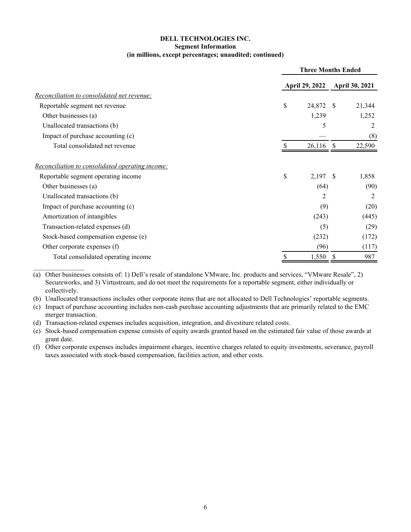#### **DELL TECHNOLOGIES INC. Segment Information (in millions, except percentages; unaudited; continued)**

|                                                  | <b>Three Months Ended</b> |              |                       |  |  |  |
|--------------------------------------------------|---------------------------|--------------|-----------------------|--|--|--|
|                                                  | <b>April 29, 2022</b>     |              | <b>April 30, 2021</b> |  |  |  |
| Reconciliation to consolidated net revenue:      |                           |              |                       |  |  |  |
| Reportable segment net revenue                   | \$<br>24,872              | <sup>S</sup> | 21,344                |  |  |  |
| Other businesses (a)                             | 1,239                     |              | 1,252                 |  |  |  |
| Unallocated transactions (b)                     | 5                         |              | 2                     |  |  |  |
| Impact of purchase accounting (c)                |                           |              | (8)                   |  |  |  |
| Total consolidated net revenue                   | 26,116                    | -S           | 22,590                |  |  |  |
| Reconciliation to consolidated operating income: |                           |              |                       |  |  |  |
| Reportable segment operating income              | \$<br>2,197               | -S           | 1,858                 |  |  |  |
| Other businesses (a)                             | (64)                      |              | (90)                  |  |  |  |
| Unallocated transactions (b)                     | 2                         |              | 2                     |  |  |  |
| Impact of purchase accounting (c)                | (9)                       |              | (20)                  |  |  |  |
| Amortization of intangibles                      | (243)                     |              | (445)                 |  |  |  |
| Transaction-related expenses (d)                 | (5)                       |              | (29)                  |  |  |  |
| Stock-based compensation expense (e)             | (232)                     |              | (172)                 |  |  |  |
| Other corporate expenses (f)                     | (96)                      |              | (117)                 |  |  |  |
| Total consolidated operating income              | 1,550                     |              | 987                   |  |  |  |

(a) Other businesses consists of: 1) Dell's resale of standalone VMware, Inc. products and services, "VMware Resale", 2) Secureworks, and 3) Virtustream, and do not meet the requirements for a reportable segment, either individually or collectively.

(b) Unallocated transactions includes other corporate items that are not allocated to Dell Technologies' reportable segments.

(c) Impact of purchase accounting includes non-cash purchase accounting adjustments that are primarily related to the EMC merger transaction.

(d) Transaction-related expenses includes acquisition, integration, and divestiture related costs.

(e) Stock-based compensation expense consists of equity awards granted based on the estimated fair value of those awards at grant date.

(f) Other corporate expenses includes impairment charges, incentive charges related to equity investments, severance, payroll taxes associated with stock-based compensation, facilities action, and other costs.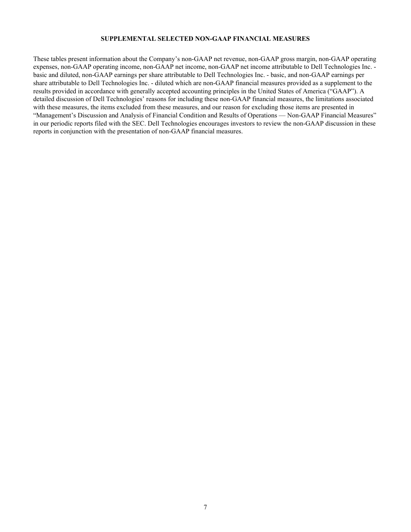#### **SUPPLEMENTAL SELECTED NON-GAAP FINANCIAL MEASURES**

These tables present information about the Company's non-GAAP net revenue, non-GAAP gross margin, non-GAAP operating expenses, non-GAAP operating income, non-GAAP net income, non-GAAP net income attributable to Dell Technologies Inc. basic and diluted, non-GAAP earnings per share attributable to Dell Technologies Inc. - basic, and non-GAAP earnings per share attributable to Dell Technologies Inc. - diluted which are non-GAAP financial measures provided as a supplement to the results provided in accordance with generally accepted accounting principles in the United States of America ("GAAP"). A detailed discussion of Dell Technologies' reasons for including these non-GAAP financial measures, the limitations associated with these measures, the items excluded from these measures, and our reason for excluding those items are presented in "Management's Discussion and Analysis of Financial Condition and Results of Operations — Non-GAAP Financial Measures" in our periodic reports filed with the SEC. Dell Technologies encourages investors to review the non-GAAP discussion in these reports in conjunction with the presentation of non-GAAP financial measures.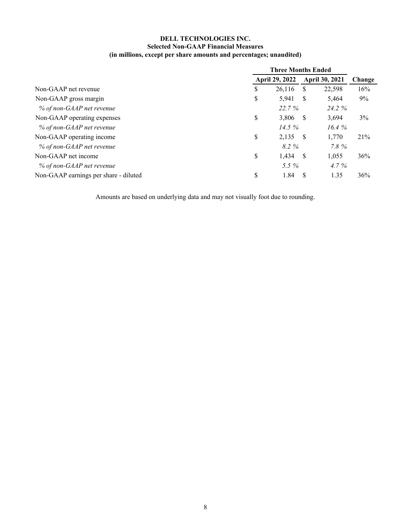# **DELL TECHNOLOGIES INC. Selected Non-GAAP Financial Measures (in millions, except per share amounts and percentages; unaudited)**

|                                       | <b>Three Months Ended</b> |          |                |        |  |
|---------------------------------------|---------------------------|----------|----------------|--------|--|
|                                       | April 29, 2022            |          | April 30, 2021 | Change |  |
| Non-GAAP net revenue                  | \$<br>26,116              | <b>S</b> | 22,598         | 16%    |  |
| Non-GAAP gross margin                 | \$<br>5,941               | -S       | 5,464          | 9%     |  |
| % of non-GAAP net revenue             | 22.7 %                    |          | 24.2 %         |        |  |
| Non-GAAP operating expenses           | \$<br>3,806               | - S      | 3,694          | 3%     |  |
| % of non-GAAP net revenue             | 14.5%                     |          | 16.4%          |        |  |
| Non-GAAP operating income             | \$<br>$2,135$ \$          |          | 1,770          | 21%    |  |
| % of non-GAAP net revenue             | 8.2%                      |          | 7.8%           |        |  |
| Non-GAAP net income                   | \$<br>$1,434$ \$          |          | 1,055          | 36%    |  |
| % of non-GAAP net revenue             | 5.5 $%$                   |          | $4.7\%$        |        |  |
| Non-GAAP earnings per share - diluted | \$<br>1.84                | - \$     | 1.35           | 36%    |  |

Amounts are based on underlying data and may not visually foot due to rounding.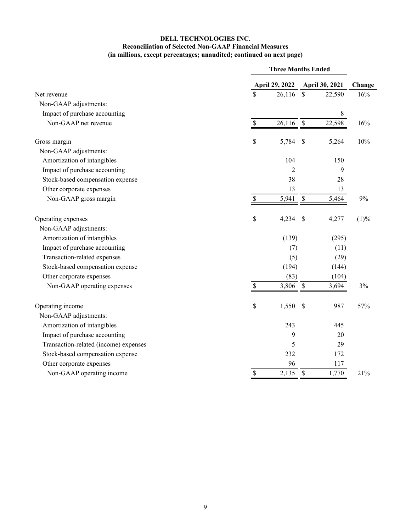# **DELL TECHNOLOGIES INC. Reconciliation of Selected Non-GAAP Financial Measures (in millions, except percentages; unaudited; continued on next page)**

|                                       | <b>Three Months Ended</b> |                           |                |        |  |
|---------------------------------------|---------------------------|---------------------------|----------------|--------|--|
|                                       | April 29, 2022            |                           | April 30, 2021 | Change |  |
| Net revenue                           | \$<br>26,116              | $\mathsf{\$}$             | 22,590         | 16%    |  |
| Non-GAAP adjustments:                 |                           |                           |                |        |  |
| Impact of purchase accounting         |                           |                           | 8              |        |  |
| Non-GAAP net revenue                  | \$<br>26,116              | \$                        | 22,598         | 16%    |  |
| Gross margin                          | \$<br>5,784               | \$                        | 5,264          | 10%    |  |
| Non-GAAP adjustments:                 |                           |                           |                |        |  |
| Amortization of intangibles           | 104                       |                           | 150            |        |  |
| Impact of purchase accounting         | $\overline{2}$            |                           | 9              |        |  |
| Stock-based compensation expense      | 38                        |                           | 28             |        |  |
| Other corporate expenses              | 13                        |                           | 13             |        |  |
| Non-GAAP gross margin                 | \$<br>5,941               | $\mathbb S$               | 5,464          | 9%     |  |
| Operating expenses                    | \$<br>4,234               | \$                        | 4,277          | (1)%   |  |
| Non-GAAP adjustments:                 |                           |                           |                |        |  |
| Amortization of intangibles           | (139)                     |                           | (295)          |        |  |
| Impact of purchase accounting         | (7)                       |                           | (11)           |        |  |
| Transaction-related expenses          | (5)                       |                           | (29)           |        |  |
| Stock-based compensation expense      | (194)                     |                           | (144)          |        |  |
| Other corporate expenses              | (83)                      |                           | (104)          |        |  |
| Non-GAAP operating expenses           | \$<br>3,806               | $\boldsymbol{\mathsf{S}}$ | 3,694          | 3%     |  |
| Operating income                      | \$<br>1,550               | $\mathcal{S}$             | 987            | 57%    |  |
| Non-GAAP adjustments:                 |                           |                           |                |        |  |
| Amortization of intangibles           | 243                       |                           | 445            |        |  |
| Impact of purchase accounting         | 9                         |                           | 20             |        |  |
| Transaction-related (income) expenses | 5                         |                           | 29             |        |  |
| Stock-based compensation expense      | 232                       |                           | 172            |        |  |
| Other corporate expenses              | 96                        |                           | 117            |        |  |
| Non-GAAP operating income             | \$<br>2,135               | $\mathcal{S}$             | 1,770          | 21%    |  |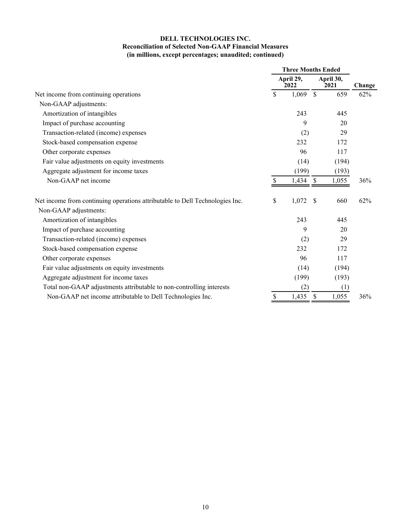# **DELL TECHNOLOGIES INC. Reconciliation of Selected Non-GAAP Financial Measures (in millions, except percentages; unaudited; continued)**

|                                                                              | <b>Three Months Ended</b> |                   |               |                   |        |
|------------------------------------------------------------------------------|---------------------------|-------------------|---------------|-------------------|--------|
|                                                                              |                           | April 29,<br>2022 |               | April 30,<br>2021 | Change |
| Net income from continuing operations                                        | \$                        | 1,069             | $\mathcal{S}$ | 659               | 62%    |
| Non-GAAP adjustments:                                                        |                           |                   |               |                   |        |
| Amortization of intangibles                                                  |                           | 243               |               | 445               |        |
| Impact of purchase accounting                                                |                           | 9                 |               | 20                |        |
| Transaction-related (income) expenses                                        |                           | (2)               |               | 29                |        |
| Stock-based compensation expense                                             |                           | 232               |               | 172               |        |
| Other corporate expenses                                                     |                           | 96                |               | 117               |        |
| Fair value adjustments on equity investments                                 |                           | (14)              |               | (194)             |        |
| Aggregate adjustment for income taxes                                        |                           | (199)             |               | (193)             |        |
| Non-GAAP net income                                                          | <b>S</b>                  | 1,434             | $\mathbb{S}$  | 1,055             | 36%    |
| Net income from continuing operations attributable to Dell Technologies Inc. | \$                        | 1,072             | $\mathcal{S}$ | 660               | 62%    |
| Non-GAAP adjustments:                                                        |                           |                   |               |                   |        |
| Amortization of intangibles                                                  |                           | 243               |               | 445               |        |
| Impact of purchase accounting                                                |                           | 9                 |               | 20                |        |
| Transaction-related (income) expenses                                        |                           | (2)               |               | 29                |        |
| Stock-based compensation expense                                             |                           | 232               |               | 172               |        |
| Other corporate expenses                                                     |                           | 96                |               | 117               |        |
| Fair value adjustments on equity investments                                 |                           | (14)              |               | (194)             |        |
| Aggregate adjustment for income taxes                                        |                           | (199)             |               | (193)             |        |
| Total non-GAAP adjustments attributable to non-controlling interests         |                           | (2)               |               | (1)               |        |
| Non-GAAP net income attributable to Dell Technologies Inc.                   | \$                        | 1,435             | $\mathcal{S}$ | 1,055             | 36%    |